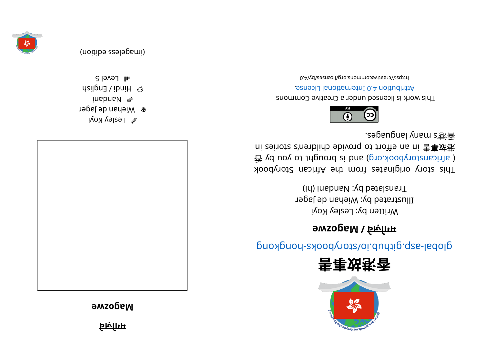

**<sup>e</sup> wzoga M**



 $\mathscr{C}$  Lesley Koyi **&** Wiehan de Jager i nadna N dsil $\varrho$ na Vibni $H \odot$ 





 $S$  level 5





## glops - skoopyr ot synchro synchromagnation synchromagnational above synchromagnations

## **<sup>e</sup> wzoga M/े <sup>व</sup> ज़ो गम**

Written py: Lesley Koyi Illustrated by: Wiehan de Jager Translated by: Nandani (hi)

This story originates from the African Storybook  $\vec{P}$  yd uoy ot tripuord si bna (pro. koodynotansints) ni zeinotz c'nenblido ebivonq ot troite na ni 害事效巷 . segaugnal yna ms' 港⾹



This work is licensed under a Creative Commons . esnecial lanoit anternational License.

0. Alvestivecommons.org/licenses/Ny/4.0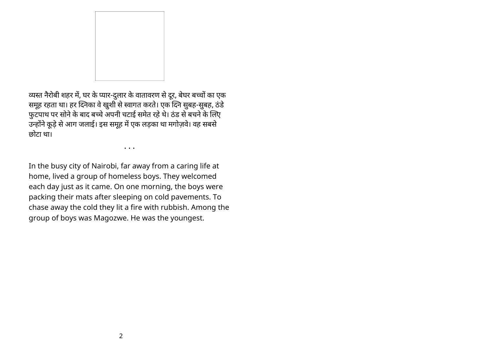

व्यस्त नैरोबी शहर में, घर के प्यार-दुलार के वातावरण से दूर, बेघर बच्चों का एक समूह रहता था। हर दिनेका वे खुशी से स्वागत करते। एक दिने सुबह-सुबह, ठंडे फुटपाथ पर सोने के बाद बच्चे अपनी चटाई समेत रहे थे। ठंड से बचने के लिए उन्होंने कूड़े से आग जलाई। इस समूह में एक लड़का था मगोज़वे। वह सबसे छोटा था।

• • •

In the busy city of Nairobi, far away from a caring life at home, lived a group of homeless boys. They welcomed each day just as it came. On one morning, the boys were packing their mats after sleeping on cold pavements. To chase away the cold they lit a fire with rubbish. Among the group of boys was Magozwe. He was the youngest.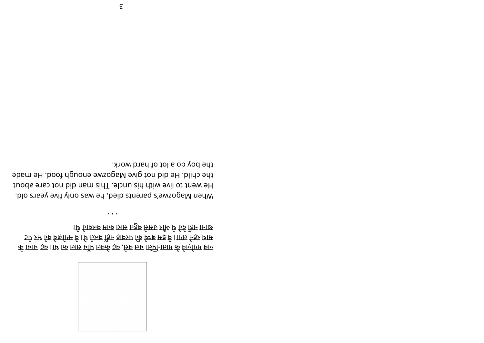

क्त वा बाही का वा प्राथा-पिती का लेक कहा कि जा तथा उसे के बाचा के ेटपि उस कि विल्गाम वे। थि किक किए ताकर पर कह वे। गाम्ल निरुप्र थाए े। यह का ना के पुरा के बाद कमा का राज करवाये थे।

• • •

. Dlo znasy evif yl nosa bey apsign a was only five years old. to de act to live with his uncle. This man did not care about the child. He dib not give Magozwe enough food. He made the boy do a lot of hard work.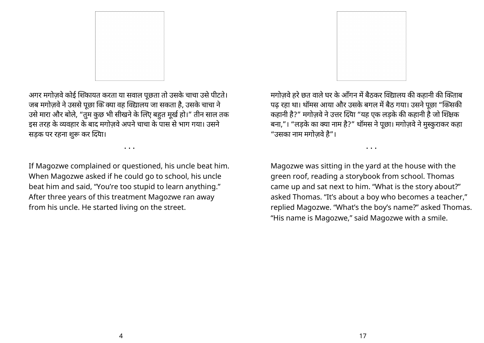

अगर मगोज़वे कोई शिकायत करता या सवाल पूछता तो उसके चाचा उसे पीटते। जब मगोज़वे ने उससे पूछा कि क्या वह विद्यालय जा सकता है, उसके चाचा ने उसे मारा और बोले, "तुम कुछ भी सीखने के लिए बहुत मूर्ख हो।" तीन साल तक इस तरह केवहार के बाद मगोज़वेअपनेचाचा के पास सेभाग गया। उसने सड़क पर रहना शुरू कर दिया।

• • •

If Magozwe complained or questioned, his uncle beat him. When Magozwe asked if he could go to school, his uncle beat him and said, "You're too stupid to learn anything." After three years of this treatment Magozwe ran away from his uncle. He started living on the street.

मगोजवे हरे छत वाले घर के आँगन में बैठकर विद्यालय की कहानी की किताब पढ रहा था। थॉमस आया और उसके बगल में बैठ गया। उसने पूछा "किसकी कहानी है?" मगोज़वे ने उत्तर दिया "यह एक लड़के की कहानी है जो शिक्षक बना,"। "लड़के का क्या नाम है?" थामस ने पूछा। मगोज़वे ने मुस्कुराकर कहा "उसका नाम मगोज़वेहै"।

Magozwe was sitting in the yard at the house with the green roof, reading a storybook from school. Thomas came up and sat next to him. "What is the story about?" asked Thomas. "It's about a boy who becomes a teacher," replied Magozwe. "What's the boy's name?" asked Thomas. "His name is Magozwe," said Magozwe with a smile.

• • •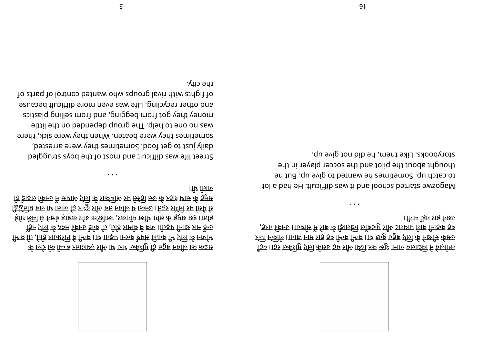

क ज़ोवन बहुत ही मुश्किल भरा था और ज़्यादातर बच्चों को रोज़ के <u>ी भक कि , तिंड़ ग्रान्सप्रांग व सिक । 11º 16इए 165क षेघंछ सिंगक सिंध्लिक के नर्लाम</u> हिन प्राजो के क्रम किन्छ हैकि कि ,जिड़ गमकि व बच ।किइए निष्ठ गम इन्छ ईाथ र्हमी <del>5</del> निर्व्ह डाक्रू र्गीथ कड्टीाल्र ,रुकागँम छाीि ार्गल र्क त्रुमुछ छइ ।।ार्जत्र <u> 15 Kn I an an I and a very set of the set of the formal set for the formal set of  $\kappa$  brands in  $\kappa$  brands in  $\kappa$ </u> हि ड्राइल किन्छ में स्रगारु एन्त्रि के त्रार्काशेरु रुप स्र्रिडी स्रूट के रुहा? धार्स के झुमुस्र । $\mathfrak{f}$ ि गिलि

• • •

del general syod entrol and most of the boys struggled daily just to get food. Sometimes they were arrested, sometimes they were beaten. When they were sick, there was no one to help. The group depended on the little spitzeld pnilles mont bna, gnigped mont tog yent spitcs and other recycling. Life was even more difficult because f fights with rival groups who wanted control of parts of the city.



ँहिरु ।।इऽ रूकिश्मुम रृप्ति केम्र्फ्ट इप्न रुफि क्रिट्रो रुक ऋष्टि काम एलाईचि ने वहाँ गम रस्रो न्कील ।।ाजारु नाम ग्रह हरू मिक मिक ।।ए छुकु ५हुरू एली के नछांस्र केस्र्फ , हरू तकी तानवार आर कुला है। लोको लगड़ी के बारे में सोचता। उनकी तरह, ।किम हिन त्राइ निरुघ

• • •

tol a bad eH. tlupittib zaw ti bna loodpa betraar ewsoga M to catch up. Sometimes he wanted to give up. But he thought about the pilot and the soccer player in the storybooks. Like them, he did not give up.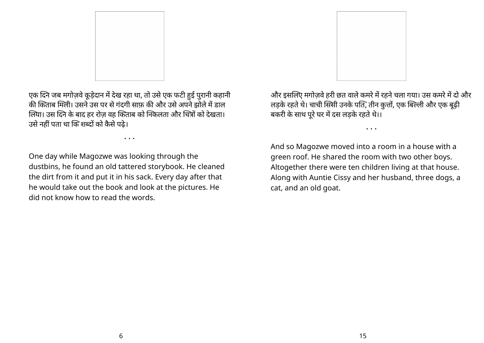

एक दिने जब मगोज़वे कूड़ेदान में देख रहा था, तो उसे एक फटी हुई पुरानी कहानी की किताब मिली। उसने उस पर से गंदगी साफ की और उसे अपने झोले में डाल लिया। उस दिने के बाद हर रोज़ वह किताब को निकलता और चित्रों को देखता। उसे नहीं पता था कि शब्दों को कैसे पढे।

• • •

One day while Magozwe was looking through the dustbins, he found an old tattered storybook. He cleaned the dirt from it and put it in his sack. Every day after that he would take out the book and look at the pictures. He did not know how to read the words.

और इसलिए मगोज़वे हरी छत वाले कमरे में रहने चला गया। उस कमरे में दो और लड़के रहते थे। चाची सिसी उनके पति, तीन कुत्तों, एक बिल्ली और एक बूढ़ी बकरी के साथ पूरे घर में दस लड़के रहते थे।।

• • •

And so Magozwe moved into a room in a house with a green roof. He shared the room with two other boys. Altogether there were ten children living at that house. Along with Auntie Cissy and her husband, three dogs, a cat, and an old goat.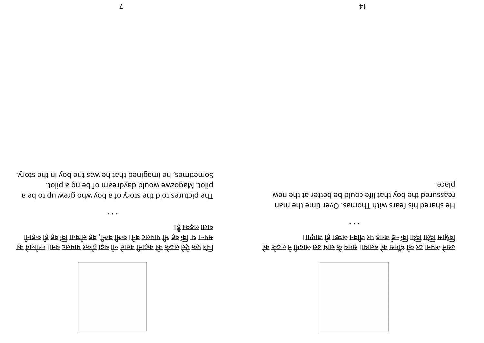

ा के व ज़ो गम।ा नब टलया पर को हा ड़बो जे ता तबी ना ह क: के कड़ले सऐ कए Oच# सिने ही हो हवा है। अपलेट बने। मैं भके भके आर्था में भी अधिकों पी भके पी भी प्रभा वाला लड़का है।

• • •

The pictures told the story of a boy who grew up to be a pilot. Magozwe would daydream of being a pilot. Sometimes, he imagined that he was the boy in the story.



क्कि के का से महारा प्रभाव को बताया। समय के साम के सदस में लड़के को ।।ाएगारु हि ।छन्छ मर्जारु रुप हागरु ईम की ार्छिन फ्रिटी सार्हिर्घ

• • •

na mehr eig mehr with Thomas. Over it man an even reassured the boy that life could be better at the new place.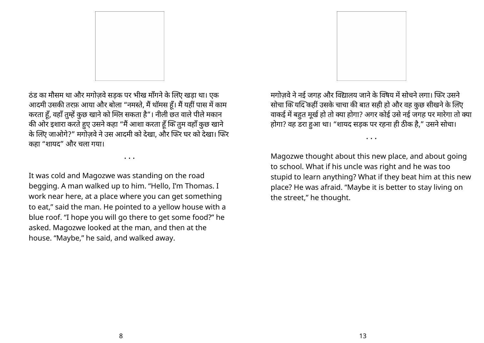

ठंड का मौसम था और मगोजवे सडक पर भीख माँगने के लिए खड़ा था। एक आदमी उसकी तरफ़ आया और बोला "नमस्ते, मैं थामस हूं। मैं यही पास में काम करता हूं, वहाँ तुम्हें कुछ खाने को मिले सकता है"। नीली छत वाले पीले मकान की ओर इशारा करते हुए उसने कहा "मैं आशा करता हूँ कि तुम वहाँ कुछ खाने के लिए जाओगे?" मगोज़वे ने उस आदमी को देखा, और फिर घर को देखा। फिर कहा "शायद" और चला गया।

• • •

It was cold and Magozwe was standing on the road begging. A man walked up to him. "Hello, I'm Thomas. I work near here, at a place where you can get something to eat," said the man. He pointed to a yellow house with a blue roof. "I hope you will go there to get some food?" he asked. Magozwe looked at the man, and then at the house. "Maybe," he said, and walked away.

मगोजवे ने नई जगह और विद्यालय जाने के विषय में सोचने लगा। फिर उसने सोचा कि यदि कहीं उसके चाचा की बात सही हो और वह कुछ सीखने के लिए वाकई में बहुत मूर्ख हो तो क्या होगा? अगर कोई उसे नई जगह पर मारेगा तो क्या होगा? वह डरा हुआ था। "शायद सड़क पर रहना ही ठीक है," उसने सोचा।

• • •

Magozwe thought about this new place, and about going to school. What if his uncle was right and he was too stupid to learn anything? What if they beat him at this new place? He was afraid. "Maybe it is better to stay living on the street," he thought.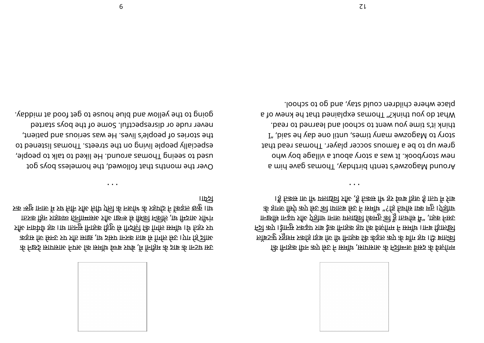

उस घटना के बाद के महीनों में, बेघर बच्चे थेमंस कि में किसी के द्वारा कर मिडार सुरु कड़ार कि सिन्ह प्रा रति साछ ,ाथ दस्य पानर का वो मैं से गो सड़क र्जार नाकें था था तुमसे मां की प्रारंभी से जुड़ी करने सुनता था। वह धेयेवान और <u>ा 55 हुआ हो है कि उनके प्राप्त कर के सिक मिले ह</u>ैं के साथ में सी से सुधार हैं। अपने सुधार के सुधार के सुधार के रुक न्छुक गाना में उप होने र मिरे लिए जिले के नर्जाम के रूप्रांग ने किइल छुकू । 11थ ।। $E_2$ 

• • •

Over the months that followed, the homeless boys got used to seeing Thomas around. He liked to talk to people, ot benetail samonT. at eert she no gnivil elqoeq vllaibeqed the stories of people's lives. He was serious and patient, never rude or disrespectful. Some of the boys started yabbim ta boot teg ot ezuoh euld bna wolley ent ot gniog.



कि मिड़क फिस कप्र रिरु न समॉथ ,सागसारु के न्जिम्निक किंग्न के विरूपिम लिताब दी। यह गाँव के एक लड़के की कहानी थी जा हा होकर मशहूर फुटबॉल नद# कए। ईा ुनसर कढ़परा ब ई की ना <sup>ह</sup> कहयो के व ज़ो गमे न समॉ थ।ा नबी ड़ा <sup>ल</sup> ख# <u>ा नछा कि मा ने बाले के बाद पर पर को कुमत के निर्धाय के नियना सोखना सो क</u> के हागरु मिर्ग कए स्रिये वा या तक मे उसे बताया कि उसे प्रत्या जगह के  $\frac{15}{3}$  तिकाम कि मिला किया है तक में है तकसी मिला है तक है । तप में प्राव

• • •

Around Magozwe's tenth birthday, Thomas gave him a odw yod egalliv a fuods yout a saw iI . Aoodyout swa grew up to be a famous soccer player. Thomas read that  $I''$ , biss en yab enolit nu, semit ynam ewsogal of yndis  $I''$ think it's time you went to school and learned to read. What do you think?" Thomas explained that he knew of a place where children could stay, and go to school.